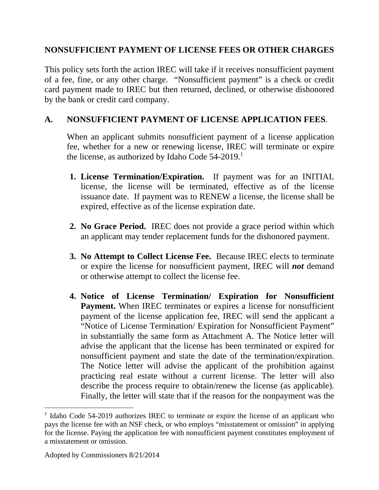## **NONSUFFICIENT PAYMENT OF LICENSE FEES OR OTHER CHARGES**

This policy sets forth the action IREC will take if it receives nonsufficient payment of a fee, fine, or any other charge. "Nonsufficient payment" is a check or credit card payment made to IREC but then returned, declined, or otherwise dishonored by the bank or credit card company.

## **A. NONSUFFICIENT PAYMENT OF LICENSE APPLICATION FEES**.

When an applicant submits nonsufficient payment of a license application fee, whether for a new or renewing license, IREC will terminate or expire the license, as authorized by Idaho Code  $54-2019$ .<sup>1</sup>

- **1. License Termination/Expiration.** If payment was for an INITIAL license, the license will be terminated, effective as of the license issuance date. If payment was to RENEW a license, the license shall be expired, effective as of the license expiration date.
- **2. No Grace Period.** IREC does not provide a grace period within which an applicant may tender replacement funds for the dishonored payment.
- **3. No Attempt to Collect License Fee.** Because IREC elects to terminate or expire the license for nonsufficient payment, IREC will *not* demand or otherwise attempt to collect the license fee.
- **4. Notice of License Termination/ Expiration for Nonsufficient Payment.** When IREC terminates or expires a license for nonsufficient payment of the license application fee, IREC will send the applicant a "Notice of License Termination/ Expiration for Nonsufficient Payment" in substantially the same form as Attachment A. The Notice letter will advise the applicant that the license has been terminated or expired for nonsufficient payment and state the date of the termination/expiration. The Notice letter will advise the applicant of the prohibition against practicing real estate without a current license. The letter will also describe the process require to obtain/renew the license (as applicable). Finally, the letter will state that if the reason for the nonpayment was the

 $\overline{a}$ 

<sup>&</sup>lt;sup>1</sup> Idaho Code 54-2019 authorizes IREC to terminate or expire the license of an applicant who pays the license fee with an NSF check, or who employs "misstatement or omission" in applying for the license. Paying the application fee with nonsufficient payment constitutes employment of a misstatement or omission.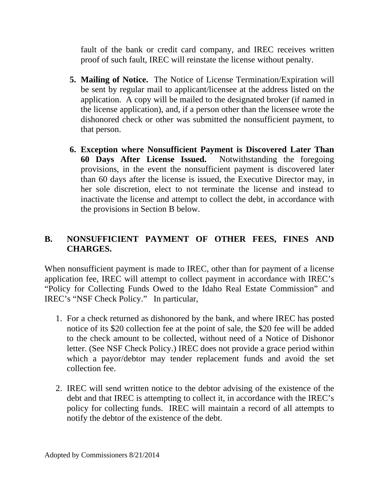fault of the bank or credit card company, and IREC receives written proof of such fault, IREC will reinstate the license without penalty.

- **5. Mailing of Notice.** The Notice of License Termination/Expiration will be sent by regular mail to applicant/licensee at the address listed on the application. A copy will be mailed to the designated broker (if named in the license application), and, if a person other than the licensee wrote the dishonored check or other was submitted the nonsufficient payment, to that person.
- **6. Exception where Nonsufficient Payment is Discovered Later Than 60 Days After License Issued.** Notwithstanding the foregoing provisions, in the event the nonsufficient payment is discovered later than 60 days after the license is issued, the Executive Director may, in her sole discretion, elect to not terminate the license and instead to inactivate the license and attempt to collect the debt, in accordance with the provisions in Section B below.

## **B. NONSUFFICIENT PAYMENT OF OTHER FEES, FINES AND CHARGES.**

When nonsufficient payment is made to IREC, other than for payment of a license application fee, IREC will attempt to collect payment in accordance with IREC's "Policy for Collecting Funds Owed to the Idaho Real Estate Commission" and IREC's "NSF Check Policy." In particular,

- 1. For a check returned as dishonored by the bank, and where IREC has posted notice of its \$20 collection fee at the point of sale, the \$20 fee will be added to the check amount to be collected, without need of a Notice of Dishonor letter. (See NSF Check Policy.) IREC does not provide a grace period within which a payor/debtor may tender replacement funds and avoid the set collection fee.
- 2. IREC will send written notice to the debtor advising of the existence of the debt and that IREC is attempting to collect it, in accordance with the IREC's policy for collecting funds. IREC will maintain a record of all attempts to notify the debtor of the existence of the debt.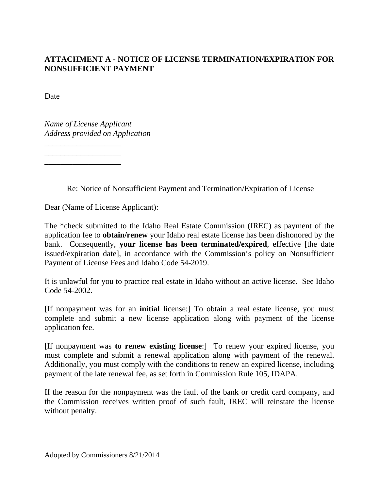## **ATTACHMENT A - NOTICE OF LICENSE TERMINATION/EXPIRATION FOR NONSUFFICIENT PAYMENT**

Date

*Name of License Applicant Address provided on Application* 

\_\_\_\_\_\_\_\_\_\_\_\_\_\_\_\_\_\_\_ \_\_\_\_\_\_\_\_\_\_\_\_\_\_\_\_\_\_\_ \_\_\_\_\_\_\_\_\_\_\_\_\_\_\_\_\_\_\_

Re: Notice of Nonsufficient Payment and Termination/Expiration of License

Dear (Name of License Applicant):

The \*check submitted to the Idaho Real Estate Commission (IREC) as payment of the application fee to **obtain/renew** your Idaho real estate license has been dishonored by the bank. Consequently, **your license has been terminated/expired**, effective [the date issued/expiration date], in accordance with the Commission's policy on Nonsufficient Payment of License Fees and Idaho Code 54-2019.

It is unlawful for you to practice real estate in Idaho without an active license. See Idaho Code 54-2002.

[If nonpayment was for an **initial** license:] To obtain a real estate license, you must complete and submit a new license application along with payment of the license application fee.

[If nonpayment was **to renew existing license**:] To renew your expired license, you must complete and submit a renewal application along with payment of the renewal. Additionally, you must comply with the conditions to renew an expired license, including payment of the late renewal fee, as set forth in Commission Rule 105, IDAPA.

If the reason for the nonpayment was the fault of the bank or credit card company, and the Commission receives written proof of such fault, IREC will reinstate the license without penalty.